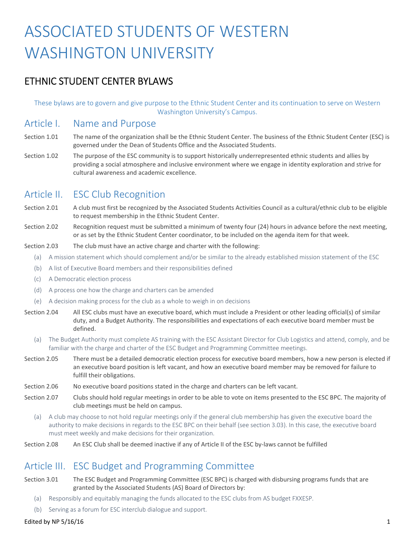# ASSOCIATED STUDENTS OF WESTERN WASHINGTON UNIVERSITY

# ETHNIC STUDENT CENTER BYLAWS

 These bylaws are to govern and give purpose to the Ethnic Student Center and its continuation to serve on Western Washington University's Campus.

## Article I. Name and Purpose

- Section 1.01 The name of the organization shall be the Ethnic Student Center. The business of the Ethnic Student Center (ESC) is governed under the Dean of Students Office and the Associated Students.
- Section 1.02 The purpose of the ESC community is to support historically underrepresented ethnic students and allies by providing a social atmosphere and inclusive environment where we engage in identity exploration and strive for cultural awareness and academic excellence.

# Article II. ESC Club Recognition

Section 2.01 A club must first be recognized by the Associated Students Activities Council as a cultural/ethnic club to be eligible to request membership in the Ethnic Student Center.

- Section 2.02 Recognition request must be submitted a minimum of twenty four (24) hours in advance before the next meeting, or as set by the Ethnic Student Center coordinator, to be included on the agenda item for that week.
- Section 2.03 The club must have an active charge and charter with the following:
	- (a) A mission statement which should complement and/or be similar to the already established mission statement of the ESC
	- (b) A list of Executive Board members and their responsibilities defined
	- (c) A Democratic election process
	- (d) A process one how the charge and charters can be amended
	- (e) A decision making process for the club as a whole to weigh in on decisions
- Section 2.04 All ESC clubs must have an executive board, which must include a President or other leading official(s) of similar duty, and a Budget Authority. The responsibilities and expectations of each executive board member must be defined.
	- (a) The Budget Authority must complete AS training with the ESC Assistant Director for Club Logistics and attend, comply, and be familiar with the charge and charter of the ESC Budget and Programming Committee meetings.
- Section 2.05 There must be a detailed democratic election process for executive board members, how a new person is elected if an executive board position is left vacant, and how an executive board member may be removed for failure to fulfill their obligations.
- Section 2.06 No executive board positions stated in the charge and charters can be left vacant.
- Section 2.07 Clubs should hold regular meetings in order to be able to vote on items presented to the ESC BPC. The majority of club meetings must be held on campus.
	- (a) A club may choose to not hold regular meetings only if the general club membership has given the executive board the authority to make decisions in regards to the ESC BPC on their behalf (see section 3.03). In this case, the executive board must meet weekly and make decisions for their organization.
- Section 2.08 An ESC Club shall be deemed inactive if any of Article II of the ESC by-laws cannot be fulfilled

# Article III. ESC Budget and Programming Committee

- Section 3.01 The ESC Budget and Programming Committee (ESC BPC) is charged with disbursing programs funds that are granted by the Associated Students (AS) Board of Directors by:
	- (a) Responsibly and equitably managing the funds allocated to the ESC clubs from AS budget FXXESP.
	- (b) Serving as a forum for ESC interclub dialogue and support.

## Edited by NP  $5/16/16$  1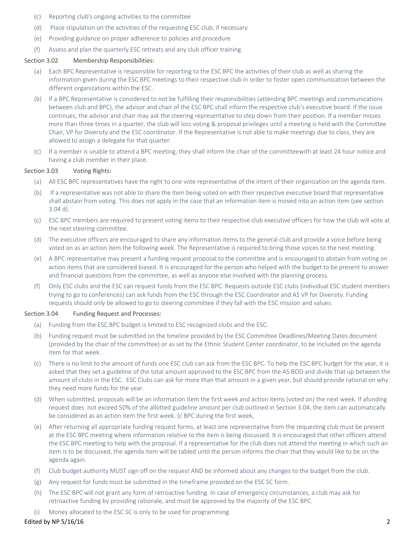- (c) Reporting club's ongoing activities to the committee
- (d) Place stipulation on the activities of the requesting ESC club, if necessary
- (e) Providing guidance on proper adherence to policies and procedure
- (f) Assess and plan the quarterly ESC retreats and any club officer training.

## Section 3.02 Membership Responsibilities:

- (a) Each BPC Representative is responsible for reporting to the ESC BPC the activities of their club as well as sharing the information given during the ESC BPC meetings to their respective club in order to foster open communication between the different organizations within the ESC.
- between club and BPC), the advisor and chair of the ESC BPC shall inform the respective club's executive board. If the issue continues, the advisor and chair may ask the steering representative to step down from their position. If a member misses more than three times in a quarter, the club will loss voting & proposal privileges until a meeting is held with the Committee Chair, VP for Diversity and the ESC coordinator. If the Representative is not able to make meetings due to class, they are allowed to assign a delegate for that quarter. (b) If a BPC Representative is considered to not be fulfilling their responsibilities (attending BPC meetings and communications
- (c) If a member is unable to attend a BPC meeting, they shall inform the chair of the committeewith at least 24 hour notice and having a club member in their place.

## Section 3.03 Voting Rights:

- (a) All ESC BPC representatives have the right to one vote representative of the intent of their organization on the agenda item.
- 3.04 d). (b) If a representative was not able to share the item being voted on with their respective executive board that representative shall abstain from voting. This does not apply in the case that an information item is moved into an action item (see section
- the next steering committee. (c) ESC BPC members are required to present voting items to their respective club executive officers for how the club will vote at
- voted on as an action item the following week. The Representative is required to bring those voices to the next meeting. (d) The executive officers are encouraged to share any information items to the general club and provide a voice before being
- action items that are considered biased. It is encouraged for the person who helped with the budget to be present to answer (e) A BPC representative may present a funding request proposal to the committee and is encouraged to abstain from voting on and financial questions from the committee, as well as anyone else involved with the planning process.
- trying to go to conferences) can ask funds from the ESC through the ESC Coordinator and AS VP for Diversity. Funding requests should only be allowed to go to steering committee if they fall with the ESC mission and values. (f) Only ESC clubs and the ESC can request funds from the ESC BPC. Requests outside ESC clubs (individual ESC student members

#### Section 3.04 Funding Request and Processes:

- (a) Funding from the ESC BPC budget is limited to ESC recognized clubs and the ESC.
- item for that week. (b) Funding request must be submitted on the timeline provided by the ESC Committee Deadlines/Meeting Dates document (provided by the chair of the committee) or as set by the Ethnic Student Center coordinator, to be included on the agenda
- (c) There is no limit to the amount of funds one ESC club can ask from the ESC BPC. To help the ESC BPC budget for the year, it is asked that they set a guideline of the total amount approved to the ESC BPC from the AS BOD and divide that up between the amount of clubs in the ESC. ESC Clubs can ask for more than that amount in a given year, but should provide rational on why they need more funds for the year.
- (d) When submitted, proposals will be an information item the first week and action items (voted on) the next week. If afunding be considered as an action item the first week. (c BPC during the first week, request does not exceed 50% of the allotted guideline amount per club outlined in Section 3.04, the item can automatically
- (e) After returning all appropriate funding request forms, at least one representative from the requesting club must be present the ESC BPC meeting to help with the proposal. If a representative for the club does not attend the meeting in which such an item is to be discussed, the agenda item will be tabled until the person informs the chair that they would like to be on the at the ESC BPC meeting where information relative to the item is being discussed. It is encouraged that other officers attend agenda again.
- (f) Club budget authority MUST sign off on the request AND be informed about any changes to the budget from the club.
- (g) Any request for funds must be submitted in the timeframe provided on the ESC SC form.
- (h) The ESC BPC will not grant any form of retroactive funding. In case of emergency circumstances, a club may ask for retroactive funding by providing rationale, and must be approved by the majority of the ESC BPC.
- (i) Money allocated to the ESC SC is only to be used for programming.

## Edited by NP  $5/16/16$  2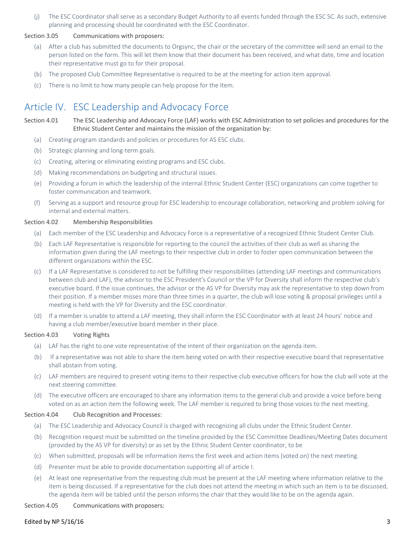(j) The ESC Coordinator shall serve as a secondary Budget Authority to all events funded through the ESC SC. As such, extensive planning and processing should be coordinated with the ESC Coordinator.

#### Section 3.05 Communications with proposers:

- person listed on the form. This will let them know that their document has been received, and what date, time and location (a) After a club has submitted the documents to Orgsync, the chair or the secretary of the committee will send an email to the their representative must go to for their proposal.
- (b) The proposed Club Committee Representative is required to be at the meeting for action item approval.
- (c) There is no limit to how many people can help propose for the Item.

# Article IV. ESC Leadership and Advocacy Force

Section 4.01 The ESC Leadership and Advocacy Force (LAF) works with ESC Administration to set policies and procedures for the Ethnic Student Center and maintains the mission of the organization by:

- (a) Creating program standards and policies or procedures for AS ESC clubs.
- (b) Strategic planning and long-term goals.
- (c) Creating, altering or eliminating existing programs and ESC clubs.
- (d) Making recommendations on budgeting and structural issues.
- (e) Providing a forum in which the leadership of the internal Ethnic Student Center (ESC) organizations can come together to foster communication and teamwork.
- (f) Serving as a support and resource group for ESC leadership to encourage collaboration, networking and problem solving for internal and external matters.

#### Section 4.02 Membership Responsibilities

- (a) Each member of the ESC Leadership and Advocacy Force is a representative of a recognized Ethnic Student Center Club.
- (b) Each LAF Representative is responsible for reporting to the council the activities of their club as well as sharing the information given during the LAF meetings to their respective club in order to foster open communication between the different organizations within the ESC.
- meeting is held with the VP for Diversity and the ESC coordinator. (c) If a LAF Representative is considered to not be fulfilling their responsibilities (attending LAF meetings and communications between club and LAF), the advisor to the ESC President's Council or the VP for Diversity shall inform the respective club's executive board. If the issue continues, the advisor or the AS VP for Diversity may ask the representative to step down from their position. If a member misses more than three times in a quarter, the club will lose voting & proposal privileges until a
- (d) If a member is unable to attend a LAF meeting, they shall inform the ESC Coordinator with at least 24 hours' notice and having a club member/executive board member in their place.

## Section 4.03 Voting Rights

- (a) LAF has the right to one vote representative of the intent of their organization on the agenda item.
- shall abstain from voting. (b) If a representative was not able to share the item being voted on with their respective executive board that representative
- (c) LAF members are required to present voting items to their respective club executive officers for how the club will vote at the next steering committee.
- voted on as an action item the following week. The LAF member is required to bring those voices to the next meeting. (d) The executive officers are encouraged to share any information items to the general club and provide a voice before being

#### Section 4.04 Club Recognition and Processes:

- (a) The ESC Leadership and Advocacy Council is charged with recognizing all clubs under the Ethnic Student Center.
- (provided by the AS VP for diversity) or as set by the Ethnic Student Center coordinator, to be (b) Recognition request must be submitted on the timeline provided by the ESC Committee Deadlines/Meeting Dates document
- (c) When submitted, proposals will be information items the first week and action items (voted on) the next meeting.
- (d) Presenter must be able to provide documentation supporting all of article I.
- (e) At least one representative from the requesting club must be present at the LAF meeting where information relative to the item is being discussed. If a representative for the club does not attend the meeting in which such an item is to be discussed, the agenda item will be tabled until the person informs the chair that they would like to be on the agenda again.

Section 4.05 Communications with proposers:

## Edited by NP  $5/16/16$  3